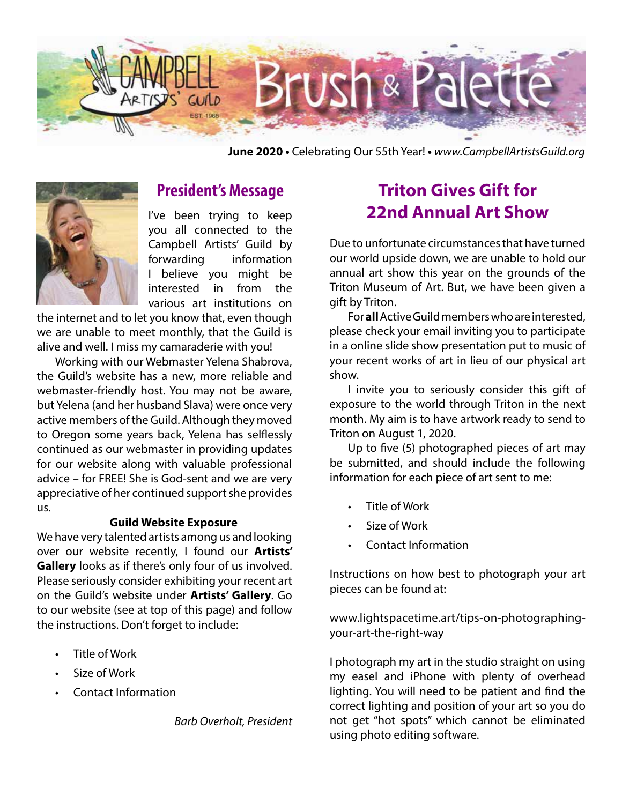

**June 2020 •** Celebrating Our 55th Year! **•** *www.CampbellArtistsGuild.org*



## **President's Message**

I've been trying to keep you all connected to the Campbell Artists' Guild by forwarding information I believe you might be interested in from the various art institutions on

the internet and to let you know that, even though we are unable to meet monthly, that the Guild is alive and well. I miss my camaraderie with you!

Working with our Webmaster Yelena Shabrova, the Guild's website has a new, more reliable and webmaster-friendly host. You may not be aware, but Yelena (and her husband Slava) were once very active members of the Guild. Although they moved to Oregon some years back, Yelena has selflessly continued as our webmaster in providing updates for our website along with valuable professional advice – for FREE! She is God-sent and we are very appreciative of her continued support she provides us.

#### **Guild Website Exposure**

We have very talented artists among us and looking over our website recently, I found our **Artists' Gallery** looks as if there's only four of us involved. Please seriously consider exhibiting your recent art on the Guild's website under **Artists' Gallery**. Go to our website (see at top of this page) and follow the instructions. Don't forget to include:

- Title of Work
- Size of Work
- Contact Information

*Barb Overholt, President*

# **Triton Gives Gift for 22nd Annual Art Show**

Due to unfortunate circumstances that have turned our world upside down, we are unable to hold our annual art show this year on the grounds of the Triton Museum of Art. But, we have been given a gift by Triton.

For **all** Active Guild members who are interested, please check your email inviting you to participate in a online slide show presentation put to music of your recent works of art in lieu of our physical art show.

I invite you to seriously consider this gift of exposure to the world through Triton in the next month. My aim is to have artwork ready to send to Triton on August 1, 2020.

Up to five (5) photographed pieces of art may be submitted, and should include the following information for each piece of art sent to me:

- Title of Work
- Size of Work
- Contact Information

Instructions on how best to photograph your art pieces can be found at:

www.lightspacetime.art/tips-on-photographingyour-art-the-right-way

I photograph my art in the studio straight on using my easel and iPhone with plenty of overhead lighting. You will need to be patient and find the correct lighting and position of your art so you do not get "hot spots" which cannot be eliminated using photo editing software.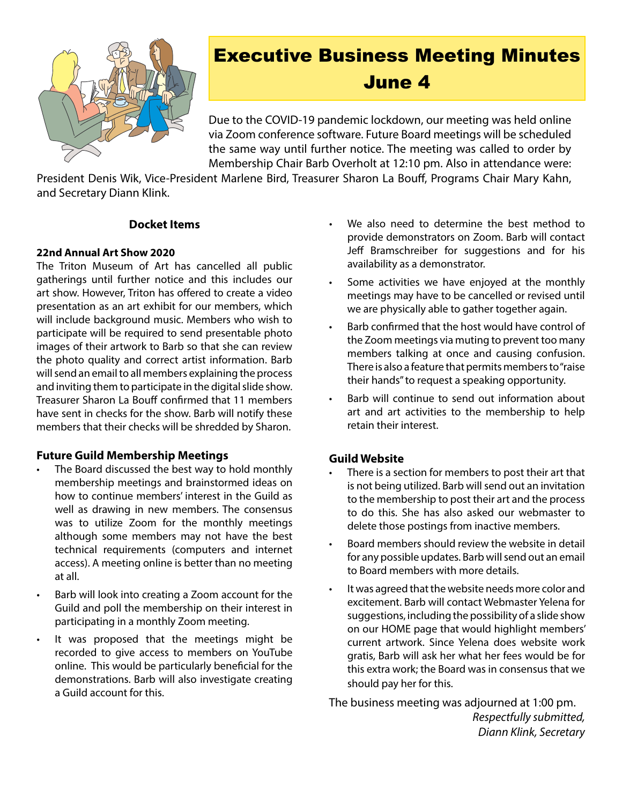

# Executive Business Meeting Minutes June 4

Due to the COVID-19 pandemic lockdown, our meeting was held online via Zoom conference software. Future Board meetings will be scheduled the same way until further notice. The meeting was called to order by Membership Chair Barb Overholt at 12:10 pm. Also in attendance were:

President Denis Wik, Vice-President Marlene Bird, Treasurer Sharon La Bouff, Programs Chair Mary Kahn, and Secretary Diann Klink.

#### **Docket Items**

#### **22nd Annual Art Show 2020**

The Triton Museum of Art has cancelled all public gatherings until further notice and this includes our art show. However, Triton has offered to create a video presentation as an art exhibit for our members, which will include background music. Members who wish to participate will be required to send presentable photo images of their artwork to Barb so that she can review the photo quality and correct artist information. Barb will send an email to all members explaining the process and inviting them to participate in the digital slide show. Treasurer Sharon La Bouff confirmed that 11 members have sent in checks for the show. Barb will notify these members that their checks will be shredded by Sharon.

#### **Future Guild Membership Meetings**

- The Board discussed the best way to hold monthly membership meetings and brainstormed ideas on how to continue members' interest in the Guild as well as drawing in new members. The consensus was to utilize Zoom for the monthly meetings although some members may not have the best technical requirements (computers and internet access). A meeting online is better than no meeting at all.
- Barb will look into creating a Zoom account for the Guild and poll the membership on their interest in participating in a monthly Zoom meeting.
- It was proposed that the meetings might be recorded to give access to members on YouTube online. This would be particularly beneficial for the demonstrations. Barb will also investigate creating a Guild account for this.
- We also need to determine the best method to provide demonstrators on Zoom. Barb will contact Jeff Bramschreiber for suggestions and for his availability as a demonstrator.
- Some activities we have enjoyed at the monthly meetings may have to be cancelled or revised until we are physically able to gather together again.
- • Barb confirmed that the host would have control of the Zoom meetings via muting to prevent too many members talking at once and causing confusion. There is also a feature that permits members to "raise" their hands" to request a speaking opportunity.
- Barb will continue to send out information about art and art activities to the membership to help retain their interest.

#### **Guild Website**

- There is a section for members to post their art that is not being utilized. Barb will send out an invitation to the membership to post their art and the process to do this. She has also asked our webmaster to delete those postings from inactive members.
- Board members should review the website in detail for any possible updates. Barb will send out an email to Board members with more details.
- It was agreed that the website needs more color and excitement. Barb will contact Webmaster Yelena for suggestions, including the possibility of a slide show on our HOME page that would highlight members' current artwork. Since Yelena does website work gratis, Barb will ask her what her fees would be for this extra work; the Board was in consensus that we should pay her for this.

The business meeting was adjourned at 1:00 pm. *Respectfully submitted, Diann Klink, Secretary*